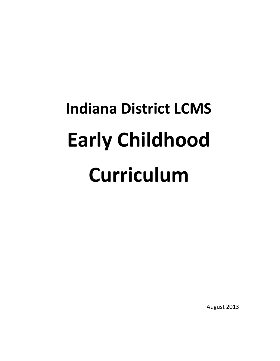# **Indiana District LCMS Early Childhood Curriculum**

August 2013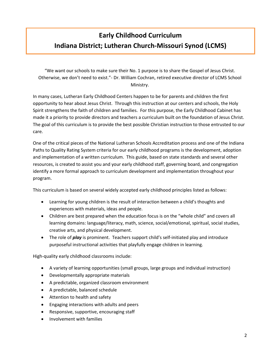# **Early Childhood Curriculum Indiana District; Lutheran Church-Missouri Synod (LCMS)**

"We want our schools to make sure their No. 1 purpose is to share the Gospel of Jesus Christ. Otherwise, we don't need to exist."- Dr. William Cochran, retired executive director of LCMS School Ministry.

In many cases, Lutheran Early Childhood Centers happen to be for parents and children the first opportunity to hear about Jesus Christ. Through this instruction at our centers and schools, the Holy Spirit strengthens the faith of children and families. For this purpose, the Early Childhood Cabinet has made it a priority to provide directors and teachers a curriculum built on the foundation of Jesus Christ. The goal of this curriculum is to provide the best possible Christian instruction to those entrusted to our care.

One of the critical pieces of the National Lutheran Schools Accreditation process and one of the Indiana Paths to Quality Rating System criteria for our early childhood programs is the development, adoption and implementation of a written curriculum. This guide, based on state standards and several other resources, is created to assist you and your early childhood staff, governing board, and congregation identify a more formal approach to curriculum development and implementation throughout your program.

This curriculum is based on several widely accepted early childhood principles listed as follows:

- Learning for young children is the result of interaction between a child's thoughts and experiences with materials, ideas and people.
- Children are best prepared when the education focus is on the "whole child" and covers all learning domains: language/literacy, math, science, social/emotional, spiritual, social studies, creative arts, and physical development.
- The role of *play* is prominent. Teachers support child's self-initiated play and introduce purposeful instructional activities that playfully engage children in learning.

High-quality early childhood classrooms include:

- A variety of learning opportunities (small groups, large groups and individual instruction)
- Developmentally appropriate materials
- A predictable, organized classroom environment
- A predictable, balanced schedule
- Attention to health and safety
- Engaging interactions with adults and peers
- Responsive, supportive, encouraging staff
- Involvement with families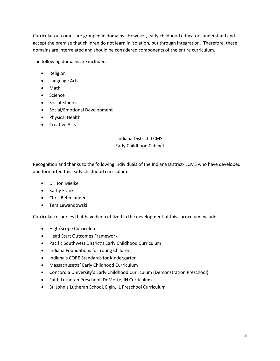Curricular outcomes are grouped in domains. However, early childhood educators understand and accept the premise that children do not learn in isolation, but through integration. Therefore, these domains are interrelated and should be considered components of the entire curriculum.

The following domains are included:

- Religion
- Language Arts
- Math
- Science
- Social Studies
- Social/Emotional Development
- Physical Health
- Creative Arts

# Indiana District- LCMS Early Childhood Cabinet

Recognition and thanks to the following individuals of the Indiana District- LCMS who have developed and formatted this early childhood curriculum:

- Dr. Jon Mielke
- Kathy Frank
- Chris Behmlander
- Tera Lewandowski

Curricular resources that have been utilized in the development of this curriculum include:

- High/Scope Curriculum
- Head Start Outcomes Framework
- Pacific Southwest District's Early Childhood Curriculum
- Indiana Foundations for Young Children
- Indiana's CORE Standards for Kindergarten
- Massachusetts' Early Childhood Curriculum
- Concordia University's Early Childhood Curriculum (Demonstration Preschool)
- Faith Lutheran Preschool, DeMotte, IN Curriculum
- St. John's Lutheran School, Elgin, IL Preschool Curriculum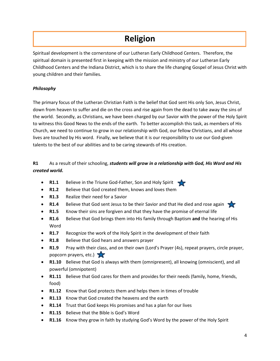# **Religion**

Spiritual development is the cornerstone of our Lutheran Early Childhood Centers. Therefore, the spiritual domain is presented first in keeping with the mission and ministry of our Lutheran Early Childhood Centers and the Indiana District, which is to share the life changing Gospel of Jesus Christ with young children and their families.

# *Philosophy*

The primary focus of the Lutheran Christian Faith is the belief that God sent His only Son, Jesus Christ, down from heaven to suffer and die on the cross and rise again from the dead to take away the sins of the world. Secondly, as Christians, we have been charged by our Savior with the power of the Holy Spirit to witness this Good News to the ends of the earth. To better accomplish this task, as members of His Church, we need to continue to grow in our relationship with God, our fellow Christians, and all whose lives are touched by His word. Finally, we believe that it is our responsibility to use our God-given talents to the best of our abilities and to be caring stewards of His creation.

# **R1** As a result of their schooling, *students will grow in a relationship with God, His Word and His created world.*

- **R1.1** Believe in the Triune God-Father, Son and Holy Spirit
- **R1.2** Believe that God created them, knows and loves them
- **R1.3** Realize their need for a Savior
- **R1.4** Believe that God sent Jesus to be their Savior and that He died and rose again
- **R1.5** Know their sins are forgiven and that they have the promise of eternal life
- **R1.6** Believe that God brings them into His family through Baptism **and** the hearing of His Word
- **R1.7** Recognize the work of the Holy Spirit in the development of their faith
- **R1.8** Believe that God hears and answers prayer
- **R1.9** Pray with their class, and on their own (Lord's Prayer (4s), repeat prayers, circle prayer, popcorn prayers, etc.)
- **R1.10** Believe that God is always with them (omnipresent), all knowing (omniscient), and all powerful (omnipotent)
- **R1.11** Believe that God cares for them and provides for their needs (family, home, friends, food)
- **R1.12** Know that God protects them and helps them in times of trouble
- **R1.13** Know that God created the heavens and the earth
- **R1.14** Trust that God keeps His promises and has a plan for our lives
- **R1.15** Believe that the Bible is God's Word
- **R1.16** Know they grow in faith by studying God's Word by the power of the Holy Spirit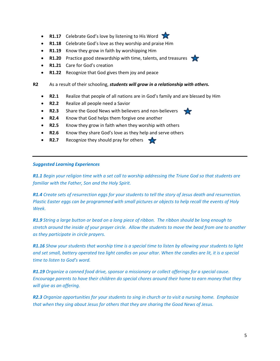- **R1.17** Celebrate God's love by listening to His Word
- **R1.18** Celebrate God's love as they worship and praise Him
- **R1.19** Know they grow in faith by worshipping Him
- **R1.20** Practice good stewardship with time, talents, and treasures
- **R1.21** Care for God's creation
- **R1.22** Recognize that God gives them joy and peace
- **R2** As a result of their schooling, *students will grow in a relationship with others.*
	- **R2.1** Realize that people of all nations are in God's family and are blessed by Him
	- **R2.2** Realize all people need a Savior
	- **R2.3** Share the Good News with believers and non-believers
	- **R2.4** Know that God helps them forgive one another
	- **R2.5** Know they grow in faith when they worship with others
	- **R2.6** Know they share God's love as they help and serve others
	- **R2.7** Recognize they should pray for others

#### *Suggested Learning Experiences*

*R1.1 Begin your religion time with a set call to worship addressing the Triune God so that students are familiar with the Father, Son and the Holy Spirit.*

*R1.4 Create sets of resurrection eggs for your students to tell the story of Jesus death and resurrection. Plastic Easter eggs can be programmed with small pictures or objects to help recall the events of Holy Week.* 

*R1.9 String a large button or bead on a long piece of ribbon. The ribbon should be long enough to stretch around the inside of your prayer circle. Allow the students to move the bead from one to another as they participate in circle prayers.*

*R1.16 Show your students that worship time is a special time to listen by allowing your students to light and set small, battery operated tea light candles on your altar. When the candles are lit, it is a special time to listen to God's word.* 

*R1.19 Organize a canned food drive, sponsor a missionary or collect offerings for a special cause. Encourage parents to have their children do special chores around their home to earn money that they will give as an offering.* 

*R2.3 Organize opportunities for your students to sing in church or to visit a nursing home. Emphasize that when they sing about Jesus for others that they are sharing the Good News of Jesus.*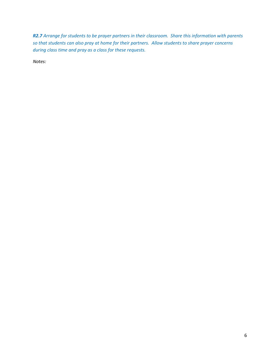*R2.7 Arrange for students to be prayer partners in their classroom. Share this information with parents so that students can also pray at home for their partners. Allow students to share prayer concerns during class time and pray as a class for these requests.*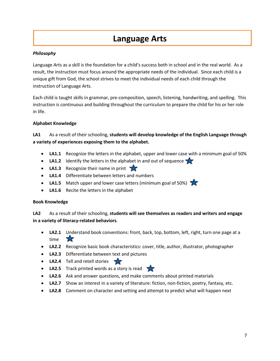# **Language Arts**

# *Philosophy*

Language Arts as a skill is the foundation for a child's success both in school and in the real world. As a result, the instruction must focus around the appropriate needs of the individual. Since each child is a unique gift from God, the school strives to meet the individual needs of each child through the instruction of Language Arts.

Each child is taught skills in grammar, pre-composition, speech, listening, handwriting, and spelling. This instruction is continuous and building throughout the curriculum to prepare the child for his or her role in life.

# **Alphabet Knowledge**

**LA1** As a result of their schooling, **students will develop knowledge of the English Language through a variety of experiences exposing them to the alphabet.**

- **LA1.1** Recognize the letters in the alphabet, upper and lower case with a minimum goal of 50%
- **LA1.2** Identify the letters in the alphabet in and out of sequence
- **LA1.3** Recognize their name in print
- **LA1.4** Differentiate between letters and numbers
- **LA1.5** Match upper and lower case letters (minimum goal of 50%)
- **LA1.6** Recite the letters in the alphabet

## **Book Knowledge**

**LA2** As a result of their schooling, **students will see themselves as readers and writers and engage in a variety of literacy-related behaviors***.*

- **LA2.1** Understand book conventions: front, back, top, bottom, left, right, turn one page at a time 77
- **LA2.2** Recognize basic book characteristics: cover, title, author, illustrator, photographer
- **LA2.3** Differentiate between text and pictures
- **LA2.4** Tell and retell stories
- **LA2.5** Track printed words as a story is read
- **LA2.6** Ask and answer questions, and make comments about printed materials
- **LA2.7** Show an interest in a variety of literature: fiction, non-fiction, poetry, fantasy, etc.
- **LA2.8** Comment on character and setting and attempt to predict what will happen next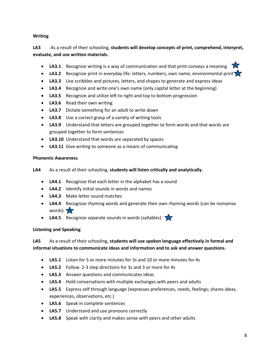# **Writing**

# **LA3** As a result of their schooling, **students will develop concepts of print, comprehend, interpret, evaluate, and use written materials.**

- LA3.1 Recognize writing is a way of communication and that print conveys a meaning
- LA3.2 Recognize print in everyday life: letters, numbers, own name, environmental print
- **LA3.3** Use scribbles and pictures, letters, and shapes to generate and express ideas
- **LA3.4** Recognize and write one's own name (only capital letter at the beginning)
- **LA3.5** Recognize and utilize left to right and top to bottom progression
- **LA3.6** Read their own writing
- **LA3.7** Dictate something for an adult to write down
- **LA3.8** Use a correct grasp of a variety of writing tools
- **LA3.9** Understand that letters are grouped together to form words and that words are grouped together to form sentences
- **LA3.10** Understand that words are separated by spaces
- **LA3.11** Give writing to someone as a means of communicating

# **Phonemic Awareness**

- **LA4** As a result of their schooling, **students will listen critically and analytically.**
	- **LA4.1** Recognize that each letter in the alphabet has a sound
	- **LA4.2** Identify initial sounds in words and names
	- **LA4.3** Make letter sound matches
	- **LA4.4** Recognize rhyming words and generate their own rhyming words (can be nonsense words)  $\sqrt{2}$
	- LA4.5 Recognize separate sounds in words (syllables)

# **Listening and Speaking**

**LA5** As a result of their schooling, **students will use spoken language effectively in formal and informal situations to communicate ideas and information and to ask and answer questions.**

- **LA5.1** Listen for 5 or more minutes for 3s and 10 or more minutes for 4s
- **LA5.2** Follow 2-3 step directions for 3s and 3 or more for 4s
- **LA5.3** Answer questions and communicates ideas
- **LA5.4** Hold conversations with multiple exchanges with peers and adults
- **LA5.5** Express self through language (expresses preferences, needs, feelings; shares ideas, experiences, observations, etc.)
- **LA5.6** Speak in complete sentences
- **LA5.7** Understand and use pronouns correctly
- **LA5.8** Speak with clarity and makes sense with peers and other adults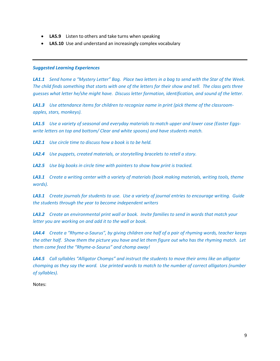- **LA5.9** Listen to others and take turns when speaking
- **LA5.10** Use and understand an increasingly complex vocabulary

#### *Suggested Learning Experiences*

*LA1.1 Send home a "Mystery Letter" Bag. Place two letters in a bag to send with the Star of the Week. The child finds something that starts with one of the letters for their show and tell. The class gets three guesses what letter he/she might have. Discuss letter formation, identification, and sound of the letter.*

*LA1.3 Use attendance items for children to recognize name in print (pick theme of the classroomapples, stars, monkeys).*

*LA1.5 Use a variety of seasonal and everyday materials to match upper and lower case (Easter Eggswrite letters on top and bottom/ Clear and white spoons) and have students match.*

*LA2.1 Use circle time to discuss how a book is to be held.*

*LA2.4 Use puppets, created materials, or storytelling bracelets to retell a story.*

*LA2.5 Use big books in circle time with pointers to show how print is tracked.*

*LA3.1 Create a writing center with a variety of materials (book making materials, writing tools, theme words).*

*LA3.1 Create journals for students to use. Use a variety of journal entries to encourage writing. Guide the students through the year to become independent writers*

*LA3.2 Create an environmental print wall or book. Invite families to send in words that match your letter you are working on and add it to the wall or book.*

*LA4.4 Create a "Rhyme-a-Saurus", by giving children one half of a pair of rhyming words, teacher keeps the other half. Show them the picture you have and let them figure out who has the rhyming match. Let them come feed the "Rhyme-a-Saurus" and chomp away!*

*LA4.5 Call syllables "Alligator Chomps" and instruct the students to move their arms like an alligator chomping as they say the word. Use printed words to match to the number of correct alligators (number of syllables).*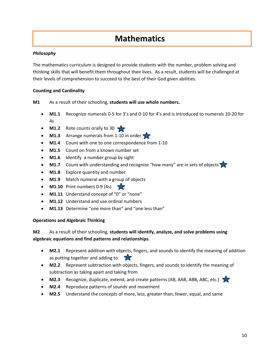# **Mathematics**

# *Philosophy*

The mathematics curriculum is designed to provide students with the number, problem solving and thinking skills that will benefit them throughout their lives. As a result, students will be challenged at their levels of comprehension to succeed to the best of their God given abilities.

# **Counting and Cardinality**

# **M1** As a result of their schooling, **students will use whole numbers.**

- **M1.1** Recognize numerals 0-5 for 3's and 0-10 for 4's and is introduced to numerals 10-20 for 4s
- **M1.2** Rote counts orally to 30
- **M1.3** Arrange numerals from 1-10 in order
- M1.4 Count with one to one correspondence from 1-10
- **M1.5** Count on from a known number set
- **M1.6** Identify a number group by sight
- M1.7 Count with understanding and recognize "how many" are in sets of objects
- **M1.8** Explore quantity and number
- **M1.9** Match numeral with a group of objects
- **M1.10** Print numbers 0-9 (4s)
- **M1.11** Understand concept of "0" or "none"
- **M1.12** Understand and use ordinal numbers
- **M1.13** Determine "one more than" and "one less than"

## **Operations and Algebraic Thinking**

# **M2** As a result of their schooling, **students will identify, analyze, and solve problems using algebraic equations and find patterns and relationships.**

- **M2.1** Represent addition with objects, fingers, and sounds to identify the meaning of addition as putting together and adding to
- **M2.2** Represent subtraction with objects, fingers, and sounds to identify the meaning of subtraction as taking apart and taking from
- **M2.3** Recognize, duplicate, extend, and create patterns (AB, AAB, ABB, ABC, etc.)
- **M2.4** Reproduce patterns of sounds and movement
- **M2.5** Understand the concepts of more, less, greater than, fewer, equal, and same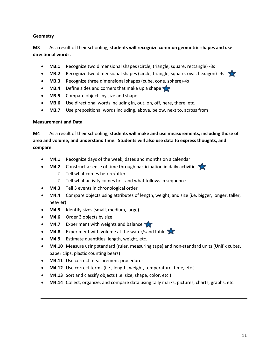# **Geometry**

**M3** As a result of their schooling, **students will recognize common geometric shapes and use directional words.**

- **M3.1** Recognize two dimensional shapes (circle, triangle, square, rectangle) -3s
- **M3.2** Recognize two dimensional shapes (circle, triangle, square, oval, hexagon)-4s
- **M3.3** Recognize three dimensional shapes (cube, cone, sphere)-4s
- M3.4 Define sides and corners that make up a shape
- **M3.5** Compare objects by size and shape
- **M3.6** Use directional words including in, out, on, off, here, there, etc.
- **M3.7** Use prepositional words including, above, below, next to, across from

## **Measurement and Data**

**M4** As a result of their schooling, **students will make and use measurements, including those of area and volume, and understand time. Students will also use data to express thoughts, and compare.**

- **M4.1** Recognize days of the week, dates and months on a calendar
- **M4.2** Construct a sense of time through participation in daily activities
	- o Tell what comes before/after
	- o Tell what activity comes first and what follows in sequence
- **M4.3** Tell 3 events in chronological order
- **M4.4** Compare objects using attributes of length, weight, and size (i.e. bigger, longer, taller, heavier)
- **M4.5** Identify sizes (small, medium, large)
- **M4.6** Order 3 objects by size
- **M4.7** Experiment with weights and balance
- M4.8 Experiment with volume at the water/sand table
- **M4.9** Estimate quantities, length, weight, etc.
- **M4.10** Measure using standard (ruler, measuring tape) and non-standard units (Unifix cubes, paper clips, plastic counting bears)
- **M4.11** Use correct measurement procedures
- **M4.12** Use correct terms (i.e., length, weight, temperature, time, etc.)
- **M4.13** Sort and classify objects (i.e. size, shape, color, etc.)
- **M4.14** Collect, organize, and compare data using tally marks, pictures, charts, graphs, etc.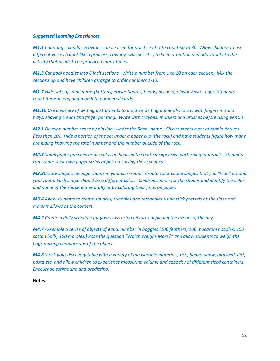#### *Suggested Learning Experiences*

*M1.1 Counting calendar activities can be used for practice of rote counting to 30. Allow children to use different voices (count like a princess, cowboy, whisper etc.) to keep attention and add variety to the activity that needs to be practiced many times.*

*M1.3 Cut pool noodles into 6 inch sections. Write a number from 1 to 10 on each section. Mix the sections up and have children arrange to order numbers 1-10.*

*M1.7 Hide sets of small items (buttons, eraser figures, beads) inside of plastic Easter eggs. Students count items in egg and match to numbered cards.* 

*M1.10 Use a variety of writing instruments to practice writing numerals. Draw with fingers in sand trays, shaving cream and finger painting. Write with crayons, markers and brushes before using pencils.*

*M2.1 Develop number sense by playing "Under the Rock" game. Give students a set of manipulatives (less than 10). Hide a portion of the set under a paper cup (the rock) and have students figure how many are hiding knowing the total number and the number outside of the rock.* 

*M2.3 Small paper punches or die cuts can be used to create inexpensive patterning materials. Students can create their own paper strips of patterns using these shapes.* 

*M3.2Create shape scavenger hunts in your classroom. Create color coded shapes that you "hide" around your room. Each shape should be a different color. Children search for the shapes and identify the color and name of the shape either orally or by coloring their finds on paper.* 

*M3.4 Allow students to create squares, triangles and rectangles using stick pretzels as the sides and marshmallows as the corners.* 

*M4.2 Create a daily schedule for your class using pictures depicting the events of the day.* 

*M4.7 Assemble a series of objects of equal number in baggies (100 feathers, 100 macaroni noodles, 100 cotton balls, 100 marbles.) Pose the question "Which Weighs More?" and allow students to weigh the bags making comparisons of the objects.* 

*M4.8 Stock your discovery table with a variety of measurable materials, rice, beans, snow, birdseed, dirt, pasta etc. and allow children to experience measuring volume and capacity of different sized containers. Encourage estimating and predicting.*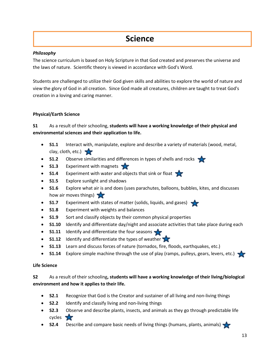# **Science**

## *Philosophy*

The science curriculum is based on Holy Scripture in that God created and preserves the universe and the laws of nature. Scientific theory is viewed in accordance with God's Word.

Students are challenged to utilize their God given skills and abilities to explore the world of nature and view the glory of God in all creation. Since God made all creatures, children are taught to treat God's creation in a loving and caring manner.

# **Physical/Earth Science**

# **S1** As a result of their schooling, **students will have a working knowledge of their physical and environmental sciences and their application to life.**

- **S1.1** Interact with, manipulate, explore and describe a variety of materials (wood, metal, clay, cloth, etc.)
- **S1.2** Observe similarities and differences in types of shells and rocks
- **S1.3** Experiment with magnets
- **S1.4** Experiment with water and objects that sink or float
- **S1.5** Explore sunlight and shadows
- **S1.6** Explore what air is and does (uses parachutes, balloons, bubbles, kites, and discusses how air moves things)
- **S1.7** Experiment with states of matter (solids, liquids, and gases)
- **S1.8** Experiment with weights and balances
- **S1.9** Sort and classify objects by their common physical properties
- **S1.10** Identify and differentiate day/night and associate activities that take place during each
- **S1.11** Identify and differentiate the four seasons
- **S1.12** Identify and differentiate the types of weather
- **S1.13** Learn and discuss forces of nature (tornados, fire, floods, earthquakes, etc.)
- **S1.14** Explore simple machine through the use of play (ramps, pulleys, gears, levers, etc.)

## **Life Science**

# **S2** As a result of their schooling**, students will have a working knowledge of their living/biological environment and how it applies to their life.**

- **S2.1** Recognize that God is the Creator and sustainer of all living and non-living things
- **S2.2** Identify and classify living and non-living things
- **S2.3** Observe and describe plants, insects, and animals as they go through predictable life cycles **TV**
- **S2.4** Describe and compare basic needs of living things (humans, plants, animals)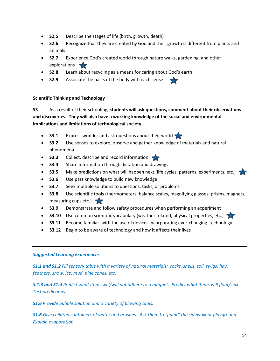- **S2.5** Describe the stages of life (birth, growth, death)
- **S2.6** Recognize that they are created by God and their growth is different from plants and animals
- **S2.7** Experience God's created world through nature walks, gardening, and other explorations
- **S2.8** Learn about recycling as a means for caring about God's earth
- **S2.9** Associate the parts of the body with each sense

# **Scientific Thinking and Technology**

**S3** As a result of their schooling, **students will ask questions, comment about their observations and discoveries. They will also have a working knowledge of the social and environmental implications and limitations of technological society.**

- **S3.1** Express wonder and ask questions about their world
- **S3.2** Use senses to explore, observe and gather knowledge of materials and natural phenomena
- **S3.3** Collect, describe and record information
- **S3.4** Share information through dictation and drawings
- **S3.5** Make predictions on what will happen next (life cycles, patterns, experiments, etc.)
- **S3.6** Use past knowledge to build new knowledge
- **S3.7** Seek multiple solutions to questions, tasks, or problems
- **S3.8** Use scientific tools (thermometers, balance scales, magnifying glasses, prisms, magnets, measuring cups etc.)  $\sqrt{2}$
- **S3.9** Demonstrate and follow safety procedures when performing an experiment
- **S3.10** Use common scientific vocabulary (weather related, physical properties, etc.)
- **S3.11** Become familiar with the use of devices incorporating ever-changing technology
- **S3.12** Begin to be aware of technology and how it affects their lives

## *Suggested Learning Experiences*

*S1.1 and S1.2 Fill sensory table with a variety of natural materials: rocks, shells, soil, twigs, hay, feathers, snow, ice, mud, pine cones, etc.*

*S.1.3 and S1.4 Predict what items will/will not adhere to a magnet. Predict what items will float/sink. Test predictions.*

*S1.6 Provide bubble solution and a variety of blowing tools.*

*S1.6 Give children containers of water and brushes. Ask them to "paint" the sidewalk or playground. Explain evaporation.*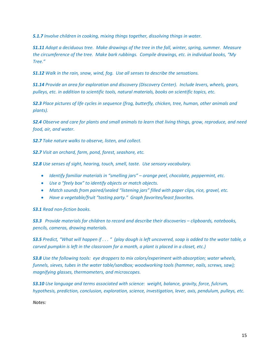*S.1.7 Involve children in cooking, mixing things together, dissolving things in water.*

*S1.11 Adopt a deciduous tree. Make drawings of the tree in the fall, winter, spring, summer. Measure the circumference of the tree. Make bark rubbings. Compile drawings, etc. in individual books, "My Tree."*

*S1.12 Walk in the rain, snow, wind, fog. Use all senses to describe the sensations.*

*S1.14 Provide an area for exploration and discovery (Discovery Center). Include levers, wheels, gears, pulleys, etc. in addition to scientific tools, natural materials, books on scientific topics, etc.*

*S2.3 Place pictures of life cycles in sequence (frog, butterfly, chicken, tree, human, other animals and plants).*

*S2.4 Observe and care for plants and small animals to learn that living things, grow, reproduce, and need food, air, and water.*

*S2.7 Take nature walks to observe, listen, and collect.*

*S2.7 Visit an orchard, farm, pond, forest, seashore, etc.*

*S2.8 Use senses of sight, hearing, touch, smell, taste. Use sensory vocabulary.*

- *Identify familiar materials in "smelling jars" – orange peel, chocolate, peppermint, etc.*
- *Use a "feely box" to identify objects or match objects.*
- *Match sounds from paired/sealed "listening jars" filled with paper clips, rice, gravel, etc.*
- *Have a vegetable/fruit "tasting party." Graph favorites/least favorites.*

*S3.1 Read non-fiction books.*

*S3.3 Provide materials for children to record and describe their discoveries – clipboards, notebooks, pencils, cameras, drawing materials.*

*S3.5 Predict, "What will happen if . . . " (play dough is left uncovered, soap is added to the water table, a carved pumpkin is left in the classroom for a month, a plant is placed in a closet, etc.)*

*S3.8 Use the following tools: eye droppers to mix colors/experiment with absorption; water wheels, funnels, sieves, tubes in the water table/sandbox; woodworking tools (hammer, nails, screws, saw); magnifying glasses, thermometers, and microscopes.*

*S3.10 Use language and terms associated with science: weight, balance, gravity, force, fulcrum, hypothesis, prediction, conclusion, exploration, science, investigation, lever, axis, pendulum, pulleys, etc.*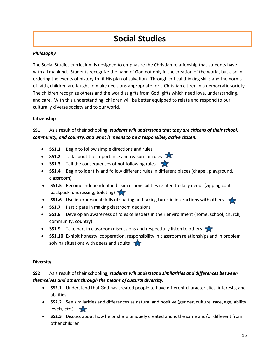# **Social Studies**

# *Philosophy*

The Social Studies curriculum is designed to emphasize the Christian relationship that students have with all mankind. Students recognize the hand of God not only in the creation of the world, but also in ordering the events of history to fit His plan of salvation. Through critical thinking skills and the norms of faith, children are taught to make decisions appropriate for a Christian citizen in a democratic society. The children recognize others and the world as gifts from God; gifts which need love, understanding, and care. With this understanding, children will be better equipped to relate and respond to our culturally diverse society and to our world.

# **Citizenship**

# **SS1** As a result of their schooling, *students will understand that they are citizens of their school, community, and country, and what it means to be a responsible, active citizen.*

- **SS1.1** Begin to follow simple directions and rules
- **SS1.2** Talk about the importance and reason for rules
- **SS1.3** Tell the consequences of not following rules
- **SS1.4** Begin to identify and follow different rules in different places (chapel, playground, classroom)
- **SS1.5** Become independent in basic responsibilities related to daily needs (zipping coat, backpack, undressing, toileting)
- **SS1.6** Use interpersonal skills of sharing and taking turns in interactions with others
- **SS1.7** Participate in making classroom decisions
- **SS1.8** Develop an awareness of roles of leaders in their environment (home, school, church, community, country)
- **SS1.9** Take part in classroom discussions and respectfully listen to others
- **SS1.10** Exhibit honesty, cooperation, responsibility in classroom relationships and in problem solving situations with peers and adults

## **Diversity**

# **SS2** As a result of their schooling, *students will understand similarities and differences between themselves and others through the means of cultural diversity.*

- **SS2.1** Understand that God has created people to have different characteristics, interests, and abilities
- **SS2.2** See similarities and differences as natural and positive (gender, culture, race, age, ability levels, etc.)  $\sqrt{2}$
- **SS2.3** Discuss about how he or she is uniquely created and is the same and/or different from other children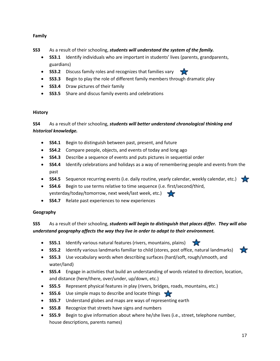# **Family**

**SS3** As a result of their schooling, *students will understand the system of the family.*

- **SS3.1** Identify individuals who are important in students' lives (parents, grandparents, guardians)
- **SS3.2** Discuss family roles and recognizes that families vary
- **SS3.3** Begin to play the role of different family members through dramatic play
- **SS3.4** Draw pictures of their family
- **SS3.5** Share and discus family events and celebrations

# **History**

**SS4** As a result of their schooling, *students will better understand chronological thinking and historical knowledge.*

- **SS4.1** Begin to distinguish between past, present, and future
- **SS4.2** Compare people, objects, and events of today and long ago
- **SS4.3** Describe a sequence of events and puts pictures in sequential order
- **SS4.4** Identify celebrations and holidays as a way of remembering people and events from the past
- **SS4.5** Sequence recurring events (i.e. daily routine, yearly calendar, weekly calendar, etc.)
- **SS4.6** Begin to use terms relative to time sequence (i.e. first/second/third, yesterday/today/tomorrow, next week/last week, etc.)
- **SS4.7** Relate past experiences to new experiences

## **Geography**

**SS5** As a result of their schooling, *students will begin to distinguish that places differ. They will also understand geography affects the way they live in order to adapt to their environment.*

- **SS5.1** Identify various natural features (rivers, mountains, plains)
- **SS5.2** Identify various landmarks familiar to child (stores, post office, natural landmarks)
- **SS5.3** Use vocabulary words when describing surfaces (hard/soft, rough/smooth, and water/land)
- **SS5.4** Engage in activities that build an understanding of words related to direction, location, and distance (here/there, over/under, up/down, etc.)
- **SS5.5** Represent physical features in play (rivers, bridges, roads, mountains, etc.)
- **SS5.6** Use simple maps to describe and locate things
- **SS5.7** Understand globes and maps are ways of representing earth
- **SS5.8** Recognize that streets have signs and numbers
- **SS5.9** Begin to give information about where he/she lives (i.e., street, telephone number, house descriptions, parents names)

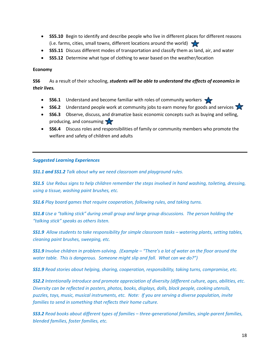- **SS5.10** Begin to identify and describe people who live in different places for different reasons (i.e. farms, cities, small towns, different locations around the world)
- **SS5.11** Discuss different modes of transportation and classify them as land, air, and water
- **SS5.12** Determine what type of clothing to wear based on the weather/location

#### **Economy**

**SS6** As a result of their schooling, *students will be able to understand the effects of economics in their lives.*

- **SS6.1** Understand and become familiar with roles of community workers
- **SS6.2** Understand people work at community jobs to earn money for goods and services
- **SS6.3** Observe, discuss, and dramatize basic economic concepts such as buying and selling, producing, and consuming
- **SS6.4** Discuss roles and responsibilities of family or community members who promote the welfare and safety of children and adults

#### *Suggested Learning Experiences*

*SS1.1 and SS1.2 Talk about why we need classroom and playground rules.*

*SS1.5 Use Rebus signs to help children remember the steps involved in hand washing, toileting, dressing, using a tissue, washing paint brushes, etc.*

*SS1.6 Play board games that require cooperation, following rules, and taking turns.*

*SS1.8 Use a "talking stick" during small group and large group discussions. The person holding the "talking stick" speaks as others listen.*

*SS1.9 Allow students to take responsibility for simple classroom tasks – watering plants, setting tables, cleaning paint brushes, sweeping, etc.*

*SS1.9 Involve children in problem-solving. (Example – "There's a lot of water on the floor around the water table. This is dangerous. Someone might slip and fall. What can we do?")*

*SS1.9 Read stories about helping, sharing, cooperation, responsibility, taking turns, compromise, etc.*

*SS2.2 Intentionally introduce and promote appreciation of diversity (different culture, ages, abilities, etc. Diversity can be reflected in posters, photos, books, displays, dolls, block people, cooking utensils, puzzles, toys, music, musical instruments, etc. Note: If you are serving a diverse population, invite families to send in something that reflects their home culture.*

*SS3.2 Read books about different types of families – three-generational families, single-parent families, blended families, foster families, etc.*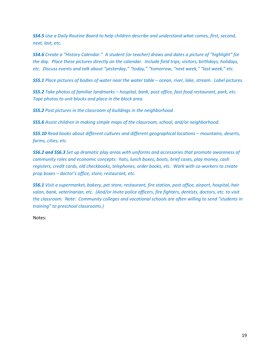*SS4.5 Use a Daily Routine Board to help children describe and understand what comes, first, second, next, last, etc.*

*SS4.6 Create a "History Calendar." A student (or teacher) draws and dates a picture of "highlight" for the day. Place these pictures directly on the calendar. Include field trips, visitors, birthdays, holidays, etc. Discuss events and talk about "yesterday," "today," "tomorrow, "next week," "last week," etc.*

*SS5.1 Place pictures of bodies of water near the water table – ocean, river, lake, stream. Label pictures.*

*SS5.2 Take photos of familiar landmarks – hospital, bank, post office, fast food restaurant, park, etc. Tape photos to unit blocks and place in the block area.*

*SS5.2 Post pictures in the classroom of buildings in the neighborhood.*

*SS5.6 Assist children in making simple maps of the classroom, school, and/or neighborhood.*

*SS5.10 Read books about different cultures and different geographical locations – mountains, deserts, farms, cities, etc.*

*SS6.2 and SS6.3 Set up dramatic play areas with uniforms and accessories that promote awareness of community roles and economic concepts: hats, lunch boxes, boots, brief cases, play money, cash registers, credit cards, old checkbooks, telephones, order books, etc. Work with co-workers to create prop boxes – doctor's office, store, restaurant, etc.*

*SS6.1 Visit a supermarket, bakery, pet store, restaurant, fire station, post office, airport, hospital, hair salon, bank, veterinarian, etc. (And/or invite police officers, fire fighters, dentists, doctors, etc. to visit the classroom. Note: Community colleges and vocational schools are often willing to send "students in training" to preschool classrooms.)*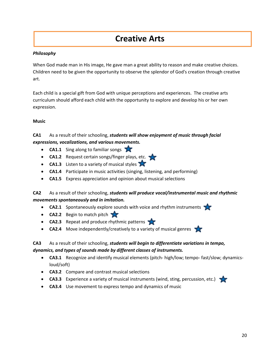# **Creative Arts**

# *Philosophy*

When God made man in His image, He gave man a great ability to reason and make creative choices. Children need to be given the opportunity to observe the splendor of God's creation through creative art.

Each child is a special gift from God with unique perceptions and experiences. The creative arts curriculum should afford each child with the opportunity to explore and develop his or her own expression.

# **Music**

# **CA1** As a result of their schooling, *students will show enjoyment of music through facial expressions, vocalizations, and various movements.*

- **CA1.1** Sing along to familiar songs
- **CA1.2** Request certain songs/finger plays, etc.
- **CA1.3** Listen to a variety of musical styles
- **CA1.4** Participate in music activities (singing, listening, and performing)
- **CA1.5** Express appreciation and opinion about musical selections

# **CA2** As a result of their schooling, *students will produce vocal/instrumental music and rhythmic movements spontaneously and in imitation.*

- **CA2.1** Spontaneously explore sounds with voice and rhythm instruments
- **CA2.2** Begin to match pitch
- **CA2.3** Repeat and produce rhythmic patterns
- **CA2.4** Move independently/creatively to a variety of musical genres

# **CA3** As a result of their schooling, *students will begin to differentiate variations in tempo, dynamics, and types of sounds made by different classes of instruments.*

- **CA3.1** Recognize and identify musical elements (pitch- high/low; tempo- fast/slow; dynamicsloud/soft)
- **CA3.2** Compare and contrast musical selections
- **CA3.3** Experience a variety of musical instruments (wind, sting, percussion, etc.)
- **CA3.4** Use movement to express tempo and dynamics of music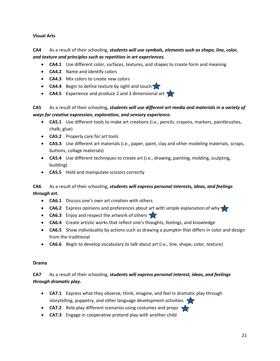# **Visual Arts**

# **CA4** As a result of their schooling, *students will use symbols, elements such as shape, line, color, and texture and principles such as repetition in art experiences.*

- **CA4.1** Use different color, surfaces, textures, and shapes to create form and meaning
- **CA4.2** Name and identify colors
- **CA4.3** Mix colors to create new colors
- **CA4.4** Begin to define texture by sight and touch
- **CA4.5** Experience and produce 2 and 3 dimensional art

# **CA5** As a result of their schooling, *students will use different art media and materials in a variety of ways for creative expression, exploration, and sensory experience.*

- **CA5.1** Use different tools to make art creations (i.e., pencils, crayons, markers, paintbrushes, chalk, glue)
- **CA5.2** Properly care for art tools
- **CA5.3** Use different art materials (i.e., paper, paint, clay and other modeling materials, scraps, buttons, collage materials)
- **CA5.4** Use different techniques to create art (i.e., drawing, painting, molding, sculpting, building)
- **CA5.5** Hold and manipulate scissors correctly

# **CA6** As a result of their schooling, *students will express personal interests, ideas, and feelings through art.*

- **CA6.1** Discuss one's own art creation with others
- **CA6.2** Express opinions and preferences about art with simple explanation of why
- **CA6.3** Enjoy and respect the artwork of others
- **CA6.4** Create artistic works that reflect one's thoughts, feelings, and knowledge
- **CA6.5** Show individuality by actions such as drawing a pumpkin that differs in color and design from the traditional
- **CA6.6** Begin to develop vocabulary to talk about art (i.e., line, shape, color, texture)

#### **Drama**

# **CA7** As a result of their schooling, *students will express personal interest, ideas, and feelings through dramatic play.*

- **CA7.1** Express what they observe, think, imagine, and feel in dramatic play through storytelling, puppetry, and other language development activities
- **CA7.2** Role play different scenarios using costumes and props
- **CA7.3** Engage in cooperative pretend play with another child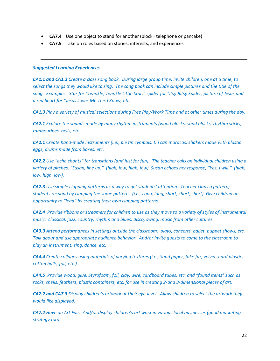- **CA7.4** Use one object to stand for another (block= telephone or pancake)
- **CA7.5** Take on roles based on stories, interests, and experiences

#### *Suggested Learning Experiences*

*CA1.1 and CA1.2 Create a class song book. During large group time, invite children, one at a time, to select the songs they would like to sing. The song book can include simple pictures and the title of the song. Examples: Star for "Twinkle, Twinkle Little Star;" spider for "Itsy Bitsy Spider; picture of Jesus and a red heart for "Jesus Loves Me This I Know; etc.*

*CA1.3 Play a variety of musical selections during Free Play/Work Time and at other times during the day.*

*CA2.1 Explore the sounds made by many rhythm instruments (wood blocks, sand blocks, rhythm sticks, tambourines, bells, etc.*

*CA2.1 Create hand-made instruments (i.e., pie tin cymbals, tin can maracas, shakers made with plastic eggs, drums made from boxes, etc.*

*CA2.2 Use "echo chants" for transitions (and just for fun). The teacher calls on individual children using a variety of pitches, "Susan, line up." (high, low, high, low) Susan echoes her response, "Yes, I will." (high, low, high, low).*

*CA2.3 Use simple clapping patterns as a way to get students' attention. Teacher claps a pattern; students respond by clapping the same pattern. (i.e., Long, long, short, short, short) Give children an opportunity to "lead" by creating their own clapping patterns.*

*CA2.4 Provide ribbons or streamers for children to use as they move to a variety of styles of instrumental music: classical, jazz, country, rhythm and blues, disco, swing, music from other cultures.*

*CA3.3 Attend performances in settings outside the classroom: plays, concerts, ballet, puppet shows, etc. Talk about and use appropriate audience behavior. And/or invite guests to come to the classroom to play an instrument, sing, dance, etc.*

*CA4.4 Create collages using materials of varying textures (i.e., Sand paper, fake fur, velvet, hard plastic, cotton balls, foil, etc.)*

*CA4.5 Provide wood, glue, Styrofoam, foil, clay, wire, cardboard tubes, etc. and "found items" such as rocks, shells, feathers, plastic containers, etc. for use in creating 2-and 3-dimensional pieces of art.*

*CA7.2 and CA7.3 Display children's artwork at their eye-level. Allow children to select the artwork they would like displayed.*

*CA7.2 Have an Art Fair. And/or display children's art work in various local businesses (good marketing strategy too).*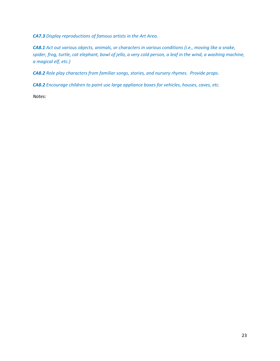*CA7.3 Display reproductions of famous artists in the Art Area.*

*CA8.1 Act out various objects, animals, or characters in various conditions (i.e., moving like a snake, spider, frog, turtle, cat elephant, bowl of jello, a very cold person, a leaf in the wind, a washing machine, a magical elf, etc.)*

*CA8.2 Role play characters from familiar songs, stories, and nursery rhymes. Provide props.*

*CA8.2 Encourage children to paint use large appliance boxes for vehicles, houses, caves, etc.*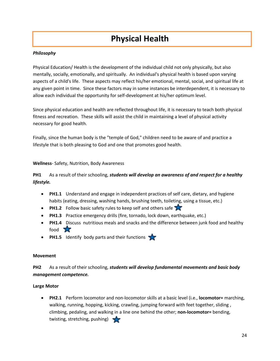# **Physical Health**

# *Philosophy*

Physical Education/ Health is the development of the individual child not only physically, but also mentally, socially, emotionally, and spiritually. An individual's physical health is based upon varying aspects of a child's life. These aspects may reflect his/her emotional, mental, social, and spiritual life at any given point in time. Since these factors may in some instances be interdependent, it is necessary to allow each individual the opportunity for self-development at his/her optimum level.

Since physical education and health are reflected throughout life, it is necessary to teach both physical fitness and recreation. These skills will assist the child in maintaining a level of physical activity necessary for good health.

Finally, since the human body is the "temple of God," children need to be aware of and practice a lifestyle that is both pleasing to God and one that promotes good health.

**Wellness**- Safety, Nutrition, Body Awareness

**PH1** As a result of their schooling, *students will develop an awareness of and respect for a healthy lifestyle.*

- **PH1.1** Understand and engage in independent practices of self care, dietary, and hygiene habits (eating, dressing, washing hands, brushing teeth, toileting, using a tissue, etc.)
- **PH1.2** Follow basic safety rules to keep self and others safe
- **PH1.3** Practice emergency drills (fire, tornado, lock down, earthquake, etc.)
- **PH1.4** Discuss nutritious meals and snacks and the difference between junk food and healthy food X
- **PH1.5** Identify body parts and their functions

#### **Movement**

**PH2** As a result of their schooling, *students will develop fundamental movements and basic body management competence.*

## **Large Motor**

• **PH2.1** Perform locomotor and non-locomotor skills at a basic level (i.e., **locomotor=** marching, walking, running, hopping, kicking, crawling, jumping forward with feet together, sliding , climbing, pedaling, and walking in a line one behind the other; **non-locomotor=** bending, twisting, stretching, pushing)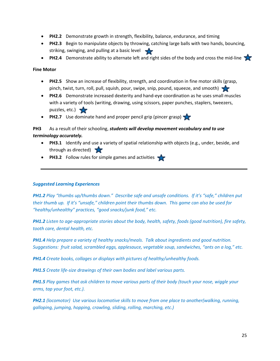- **PH2.2** Demonstrate growth in strength, flexibility, balance, endurance, and timing
- **PH2.3** Begin to manipulate objects by throwing, catching large balls with two hands, bouncing, striking, swinging, and pulling at a basic level
- **PH2.4** Demonstrate ability to alternate left and right sides of the body and cross the mid-line

#### **Fine Motor**

- **PH2.5** Show an increase of flexibility, strength, and coordination in fine motor skills (grasp, pinch, twist, turn, roll, pull, squish, pour, swipe, snip, pound, squeeze, and smooth)
- **PH2.6** Demonstrate increased dexterity and hand-eye coordination as he uses small muscles with a variety of tools (writing, drawing, using scissors, paper punches, staplers, tweezers, puzzles, etc.)
- **PH2.7** Use dominate hand and proper pencil grip (pincer grasp)

# **PH3** As a result of their schooling, *students will develop movement vocabulary and to use terminology accurately.*

- **PH3.1** Identify and use a variety of spatial relationship with objects (e.g., under, beside, and through as directed)
- **PH3.2** Follow rules for simple games and activities

## *Suggested Learning Experiences*

*PH1.2 Play "thumbs up/thumbs down." Describe safe and unsafe conditions. If it's "safe," children put their thumb up. If it's "unsafe," children point their thumbs down. This game can also be used for "healthy/unhealthy" practices, "good snacks/junk food," etc.*

*PH1.2 Listen to age-appropriate stories about the body, health, safety, foods (good nutrition), fire safety, tooth care, dental health, etc.* 

*PH1.4 Help prepare a variety of healthy snacks/meals. Talk about ingredients and good nutrition. Suggestions: fruit salad, scrambled eggs, applesauce, vegetable soup, sandwiches, "ants on a log," etc.*

*PH1.4 Create books, collages or displays with pictures of healthy/unhealthy foods.*

*PH1.5 Create life-size drawings of their own bodies and label various parts.*

*PH1.5 Play games that ask children to move various parts of their body (touch your nose, wiggle your arms, tap your foot, etc.).*

*PH2.1 (locomotor) Use various locomotive skills to move from one place to another(walking, running, galloping, jumping, hopping, crawling, sliding, rolling, marching, etc.)*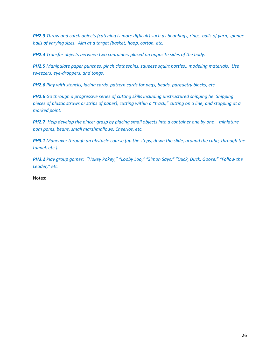*PH2.3 Throw and catch objects (catching is more difficult) such as beanbags, rings, balls of yarn, sponge balls of varying sizes. Aim at a target (basket, hoop, carton, etc.*

*PH2.4 Transfer objects between two containers placed on opposite sides of the body.*

*PH2.5 Manipulate paper punches, pinch clothespins, squeeze squirt bottles,, modeling materials. Use tweezers, eye-droppers, and tongs.*

*PH2.6 Play with stencils, lacing cards, pattern cards for pegs, beads, parquetry blocks, etc.*

*PH2.6 Go through a progressive series of cutting skills including unstructured snipping (ie. Snipping pieces of plastic straws or strips of paper), cutting within a "track," cutting on a line, and stopping at a marked point.*

*PH2.7 Help develop the pincer grasp by placing small objects into a container one by one – miniature pom poms, beans, small marshmallows, Cheerios, etc.*

*PH3.1 Maneuver through an obstacle course (up the steps, down the slide, around the cube, through the tunnel, etc.).*

*PH3.2 Play group games: "Hokey Pokey," "Looby Loo," "Simon Says," "Duck, Duck, Goose," "Follow the Leader," etc.*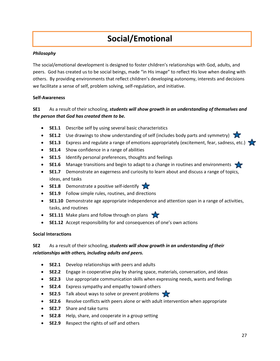# **Social/Emotional**

# *Philosophy*

The social/emotional development is designed to foster children's relationships with God, adults, and peers. God has created us to be social beings, made "in His image" to reflect His love when dealing with others. By providing environments that reflect children's developing autonomy, interests and decisions we facilitate a sense of self, problem solving, self-regulation, and initiative.

## **Self-Awareness**

# **SE1** As a result of their schooling, *students will show growth in an understanding of themselves and the person that God has created them to be.*

- **SE1.1** Describe self by using several basic characteristics
- **SE1.2** Use drawings to show understanding of self (includes body parts and symmetry)
- **SE1.3** Express and regulate a range of emotions appropriately (excitement, fear, sadness, etc.)
- **SE1.4** Show confidence in a range of abilities
- **SE1.5** Identify personal preferences, thoughts and feelings
- **SE1.6** Manage transitions and begin to adapt to a change in routines and environments
- **SE1.7** Demonstrate an eagerness and curiosity to learn about and discuss a range of topics, ideas, and tasks
- **SE1.8** Demonstrate a positive self-identify
- **SE1.9** Follow simple rules, routines, and directions
- **SE1.10** Demonstrate age appropriate independence and attention span in a range of activities, tasks, and routines
- **SE1.11** Make plans and follow through on plans
- **SE1.12** Accept responsibility for and consequences of one's own actions

## **Social Interactions**

# **SE2** As a result of their schooling, *students will show growth in an understanding of their relationships with others, including adults and peers.*

- **SE2.1** Develop relationships with peers and adults
- **SE2.2** Engage in cooperative play by sharing space, materials, conversation, and ideas
- **SE2.3** Use appropriate communication skills when expressing needs, wants and feelings
- **SE2.4** Express sympathy and empathy toward others
- **SE2.5** Talk about ways to solve or prevent problems
- **SE2.6** Resolve conflicts with peers alone or with adult intervention when appropriate
- **SE2.7** Share and take turns
- **SE2.8** Help, share, and cooperate in a group setting
- **SE2.9** Respect the rights of self and others